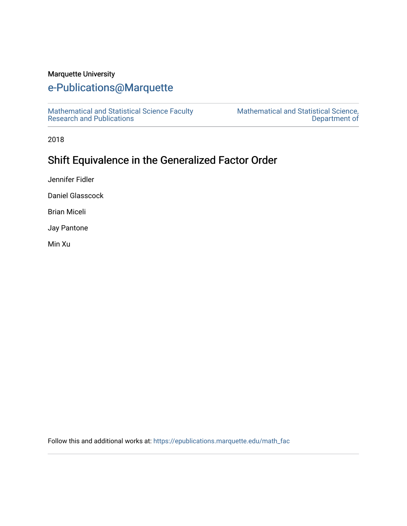## Marquette University

# [e-Publications@Marquette](https://epublications.marquette.edu/)

[Mathematical and Statistical Science Faculty](https://epublications.marquette.edu/math_fac)  [Research and Publications](https://epublications.marquette.edu/math_fac) 

[Mathematical and Statistical Science,](https://epublications.marquette.edu/math)  [Department of](https://epublications.marquette.edu/math) 

2018

# Shift Equivalence in the Generalized Factor Order

Jennifer Fidler

Daniel Glasscock

Brian Miceli

Jay Pantone

Min Xu

Follow this and additional works at: [https://epublications.marquette.edu/math\\_fac](https://epublications.marquette.edu/math_fac?utm_source=epublications.marquette.edu%2Fmath_fac%2F34&utm_medium=PDF&utm_campaign=PDFCoverPages)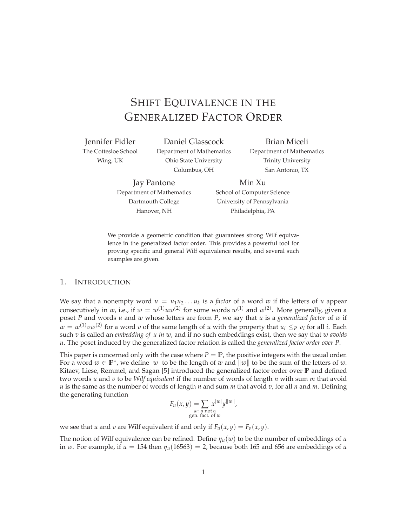# SHIFT EQUIVALENCE IN THE GENERALIZED FACTOR ORDER

Jennifer Fidler The Cottesloe School

Wing, UK

Daniel Glasscock Department of Mathematics Ohio State University Columbus, OH

Brian Miceli Department of Mathematics Trinity University San Antonio, TX

Jay Pantone Department of Mathematics Dartmouth College Hanover, NH

Min Xu School of Computer Science University of Pennsylvania Philadelphia, PA

We provide a geometric condition that guarantees strong Wilf equivalence in the generalized factor order. This provides a powerful tool for proving specific and general Wilf equivalence results, and several such examples are given.

### 1. INTRODUCTION

We say that a nonempty word  $u = u_1u_2...u_k$  is a *factor* of a word w if the letters of u appear consecutively in *w*, i.e., if  $w = w^{(1)}uw^{(2)}$  for some words  $w^{(1)}$  and  $w^{(2)}$ . More generally, given a poset *P* and words *u* and *w* whose letters are from *P*, we say that *u* is a *generalized factor* of *w* if  $w = w^{(1)}vw^{(2)}$  for a word *v* of the same length of *u* with the property that  $u_i \leq_P v_i$  for all *i*. Each such *v* is called an *embedding of u in w*, and if no such embeddings exist, then we say that *w avoids u*. The poset induced by the generalized factor relation is called the *generalized factor order over P*.

This paper is concerned only with the case where  $P = \mathbb{P}$ , the positive integers with the usual order. For a word  $w \in \mathbb{P}^*$ , we define  $|w|$  to be the length of *w* and  $||w||$  to be the sum of the letters of *w*. Kitaev, Liese, Remmel, and Sagan [5] introduced the generalized factor order over **P** and defined two words *u* and *v* to be *Wilf equivalent* if the number of words of length *n* with sum *m* that avoid *u* is the same as the number of words of length *n* and sum *m* that avoid *v*, for all *n* and *m*. Defining the generating function

$$
F_u(x, y) = \sum_{\substack{w \text{ : } u \text{ not a} \\ \text{gen. fact. of } w}} x^{|w|} y^{\|w\|},
$$

we see that *u* and *v* are Wilf equivalent if and only if  $F_u(x, y) = F_v(x, y)$ .

The notion of Wilf equivalence can be refined. Define  $\eta$ <sub>*u*</sub>(*w*) to be the number of embeddings of *u* in *w*. For example, if  $u = 154$  then  $\eta_u(16563) = 2$ , because both 165 and 656 are embeddings of *u*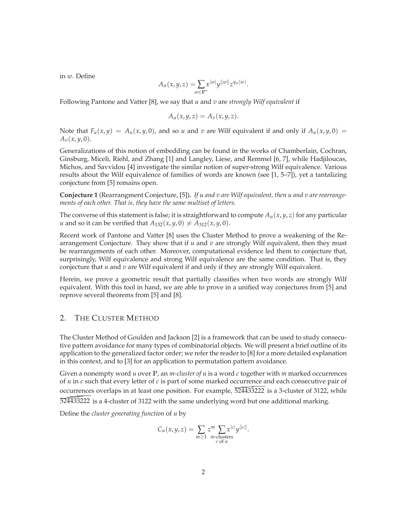in *w*. Define

$$
A_u(x,y,z)=\sum_{w\in\mathbb{P}^*}x^{|w|}y^{|w|}z^{\eta_u(w)}.
$$

Following Pantone and Vatter [8], we say that *u* and *v* are *strongly Wilf equivalent* if

$$
A_u(x,y,z) = A_v(x,y,z).
$$

Note that  $F_u(x, y) = A_u(x, y, 0)$ , and so *u* and *v* are Wilf equivalent if and only if  $A_u(x, y, 0) =$  $A_v(x, y, 0)$ .

Generalizations of this notion of embedding can be found in the works of Chamberlain, Cochran, Ginsburg, Miceli, Riehl, and Zhang [1] and Langley, Liese, and Remmel [6, 7], while Hadjiloucas, Michos, and Savvidou [4] investigate the similar notion of super-strong Wilf equivalence. Various results about the Wilf equivalence of families of words are known (see [1, 5–7]), yet a tantalizing conjecture from [5] remains open.

**Conjecture 1** (Rearrangment Conjecture, [5])**.** *If u and v are Wilf equivalent, then u and v are rearrangements of each other. That is, they have the same multiset of letters.*

The converse of this statement is false; it is straightforward to compute  $A_u(x, y, z)$  for any particular *u* and so it can be verified that  $A_{132}(x, y, 0) \neq A_{312}(x, y, 0)$ .

Recent work of Pantone and Vatter [8] uses the Cluster Method to prove a weakening of the Rearrangement Conjecture. They show that if *u* and *v* are strongly Wilf equivalent, then they must be rearrangements of each other. Moreover, computational evidence led them to conjecture that, surprisingly, Wilf equivalence and strong Wilf equivalence are the same condition. That is, they conjecture that *u* and *v* are Wilf equivalent if and only if they are strongly Wilf equivalent.

Herein, we prove a geometric result that partially classifies when two words are strongly Wilf equivalent. With this tool in hand, we are able to prove in a unified way conjectures from [5] and reprove several theorems from [5] and [8].

### 2. THE CLUSTER METHOD

The Cluster Method of Goulden and Jackson [2] is a framework that can be used to study consecutive pattern avoidance for many types of combinatorial objects. We will present a brief outline of its application to the generalized factor order; we refer the reader to [8] for a more detailed explanation in this context, and to [3] for an application to permutation pattern avoidance.

Given a nonempty word *u* over **P**, an *m-cluster of u* is a word *c* together with *m* marked occurrences of *u* in *c* such that every letter of *c* is part of some marked occurrence and each consecutive pair of occurrences overlaps in at least one position. For example,  $\overline{5244}33222$  is a 3-cluster of 3122, while 524433222 is a 4-cluster of 3122 with the same underlying word but one additional marking.

Define the *cluster generating function* of *u* by

$$
C_u(x,y,z) = \sum_{m \geq 1} z^m \sum_{\substack{m \text{-clusters} \\ c \text{ of } u}} x^{|c|} y^{\|c\|}.
$$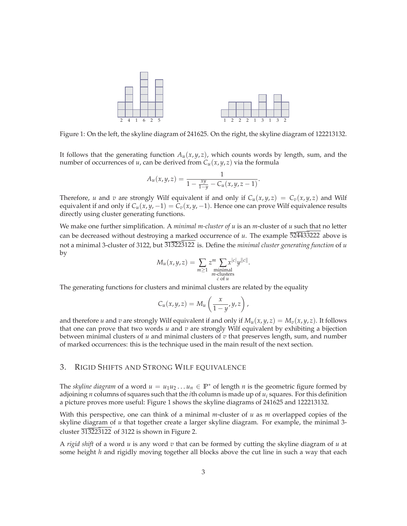

Figure 1: On the left, the skyline diagram of 241625. On the right, the skyline diagram of 122213132.

It follows that the generating function  $A_u(x, y, z)$ , which counts words by length, sum, and the number of occurrences of *u*, can be derived from  $C_u(x, y, z)$  via the formula

$$
A_u(x,y,z) = \frac{1}{1 - \frac{xy}{1 - y} - C_u(x,y,z-1)}.
$$

Therefore, *u* and *v* are strongly Wilf equivalent if and only if  $C_u(x, y, z) = C_v(x, y, z)$  and Wilf equivalent if and only if  $C_u(x, y, -1) = C_v(x, y, -1)$ . Hence one can prove Wilf equivalence results directly using cluster generating functions.

We make one further simplification. A *minimal m-cluster of u* is an *m*-cluster of *u* such that no letter can be decreased without destroying a marked occurrence of *u*. The example 524433222 above is not a minimal 3-cluster of 3122, but 313223122 is. Define the *minimal cluster generating function* of *u* by

$$
M_u(x, y, z) = \sum_{m \geq 1} z^m \sum_{\substack{\text{minimal} \\ m-\text{clusters} \\ c \text{ of } u}} x^{|c|} y^{\|c\|}.
$$

The generating functions for clusters and minimal clusters are related by the equality

$$
C_u(x,y,z)=M_u\left(\frac{x}{1-y},y,z\right),\,
$$

and therefore *u* and *v* are strongly Wilf equivalent if and only if  $M_u(x, y, z) = M_v(x, y, z)$ . It follows that one can prove that two words *u* and *v* are strongly Wilf equivalent by exhibiting a bijection between minimal clusters of *u* and minimal clusters of *v* that preserves length, sum, and number of marked occurrences: this is the technique used in the main result of the next section.

### 3. RIGID SHIFTS AND STRONG WILF EQUIVALENCE

The *skyline diagram* of a word  $u = u_1u_2 \ldots u_n \in \mathbb{P}^*$  of length *n* is the geometric figure formed by adjoining *n* columns of squares such that the *i*th column is made up of *u<sup>i</sup>* squares. For this definition a picture proves more useful: Figure 1 shows the skyline diagrams of 241625 and 122213132.

With this perspective, one can think of a minimal *m*-cluster of *u* as *m* overlapped copies of the skyline diagram of *u* that together create a larger skyline diagram. For example, the minimal 3 cluster  $\overline{3132}23122$  of 3122 is shown in Figure 2.

A *rigid shift* of a word *u* is any word *v* that can be formed by cutting the skyline diagram of *u* at some height *h* and rigidly moving together all blocks above the cut line in such a way that each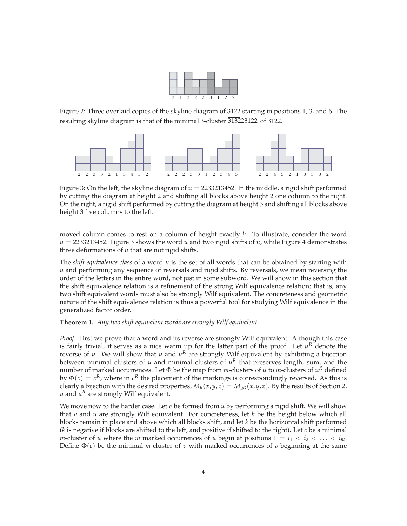

Figure 2: Three overlaid copies of the skyline diagram of 3122 starting in positions 1, 3, and 6. The resulting skyline diagram is that of the minimal 3-cluster  $\overline{313223}$ 122 of 3122.



Figure 3: On the left, the skyline diagram of  $u = 2233213452$ . In the middle, a rigid shift performed by cutting the diagram at height 2 and shifting all blocks above height 2 one column to the right. On the right, a rigid shift performed by cutting the diagram at height 3 and shifting all blocks above height 3 five columns to the left.

moved column comes to rest on a column of height exactly *h*. To illustrate, consider the word  $u = 2233213452$ . Figure 3 shows the word *u* and two rigid shifts of *u*, while Figure 4 demonstrates three deformations of *u* that are not rigid shifts.

The *shift equivalence class* of a word *u* is the set of all words that can be obtained by starting with *u* and performing any sequence of reversals and rigid shifts. By reversals, we mean reversing the order of the letters in the entire word, not just in some subword. We will show in this section that the shift equivalence relation is a refinement of the strong Wilf equivalence relation; that is, any two shift equivalent words must also be strongly Wilf equivalent. The concreteness and geometric nature of the shift equivalence relation is thus a powerful tool for studying Wilf equivalence in the generalized factor order.

#### **Theorem 1.** *Any two shift equivalent words are strongly Wilf equivalent.*

*Proof.* First we prove that a word and its reverse are strongly Wilf equivalent. Although this case is fairly trivial, it serves as a nice warm up for the latter part of the proof. Let  $u^R$  denote the reverse of *u*. We will show that *u* and  $u^R$  are strongly Wilf equivalent by exhibiting a bijection between minimal clusters of *u* and minimal clusters of  $u<sup>R</sup>$  that preserves length, sum, and the number of marked occurrences. Let  $\Phi$  be the map from *m*-clusters of *u* to *m*-clusters of  $u^R$  defined by  $\Phi(c) = c^R$ , where in  $c^R$  the placement of the markings is correspondingly reversed. As this is clearly a bijection with the desired properties,  $M_u(x, y, z) = M_u(x, y, z)$ . By the results of Section 2,  $u$  and  $u^R$  are strongly Wilf equivalent.

We move now to the harder case. Let  $v$  be formed from  $u$  by performing a rigid shift. We will show that *v* and *u* are strongly Wilf equivalent. For concreteness, let *h* be the height below which all blocks remain in place and above which all blocks shift, and let *k* be the horizontal shift performed (*k* is negative if blocks are shifted to the left, and positive if shifted to the right). Let *c* be a minimal *m*-cluster of *u* where the *m* marked occurrences of *u* begin at positions  $1 = i_1 < i_2 < \ldots < i_m$ . Define  $\Phi(c)$  be the minimal *m*-cluster of *v* with marked occurrences of *v* beginning at the same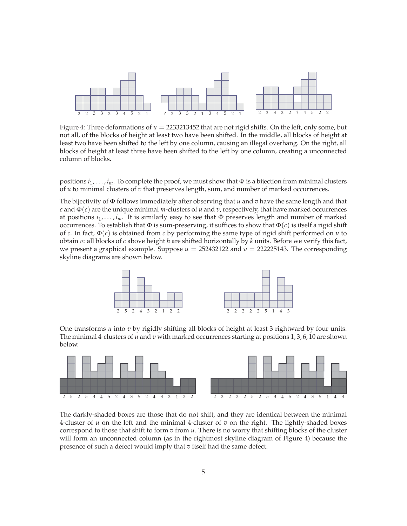

Figure 4: Three deformations of  $u = 2233213452$  that are not rigid shifts. On the left, only some, but not all, of the blocks of height at least two have been shifted. In the middle, all blocks of height at least two have been shifted to the left by one column, causing an illegal overhang. On the right, all blocks of height at least three have been shifted to the left by one column, creating a unconnected column of blocks.

positions  $i_1, \ldots, i_m$ . To complete the proof, we must show that  $\Phi$  is a bijection from minimal clusters of *u* to minimal clusters of *v* that preserves length, sum, and number of marked occurrences.

The bijectivity of Φ follows immediately after observing that *u* and *v* have the same length and that *c* and  $\Phi(c)$  are the unique minimal *m*-clusters of *u* and *v*, respectively, that have marked occurrences at positions *i*1,..., *im*. It is similarly easy to see that Φ preserves length and number of marked occurrences. To establish that  $\Phi$  is sum-preserving, it suffices to show that  $\Phi(c)$  is itself a rigid shift of *c*. In fact, Φ(*c*) is obtained from *c* by performing the same type of rigid shift performed on *u* to obtain *v*: all blocks of *c* above height *h* are shifted horizontally by *k* units. Before we verify this fact, we present a graphical example. Suppose  $u = 252432122$  and  $v = 222225143$ . The corresponding skyline diagrams are shown below.



One transforms *u* into *v* by rigidly shifting all blocks of height at least 3 rightward by four units. The minimal 4-clusters of *u* and *v* with marked occurrences starting at positions 1, 3, 6, 10 are shown below.



The darkly-shaded boxes are those that do not shift, and they are identical between the minimal 4-cluster of *u* on the left and the minimal 4-cluster of *v* on the right. The lightly-shaded boxes correspond to those that shift to form *v* from *u*. There is no worry that shifting blocks of the cluster will form an unconnected column (as in the rightmost skyline diagram of Figure 4) because the presence of such a defect would imply that *v* itself had the same defect.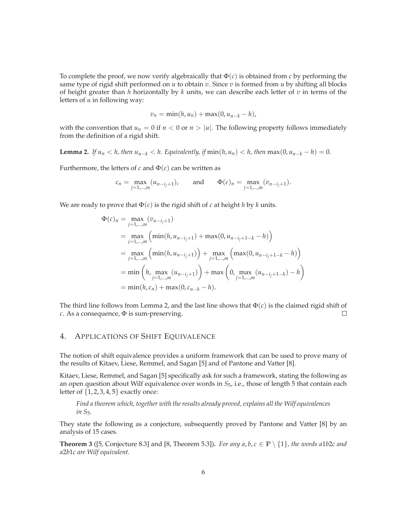To complete the proof, we now verify algebraically that  $\Phi(c)$  is obtained from *c* by performing the same type of rigid shift performed on *u* to obtain *v*. Since *v* is formed from *u* by shifting all blocks of height greater than *h* horizontally by *k* units, we can describe each letter of *v* in terms of the letters of *u* in following way:

$$
v_n = \min(h, u_n) + \max(0, u_{n-k} - h),
$$

with the convention that  $u_n = 0$  if  $n < 0$  or  $n > |u|$ . The following property follows immediately from the definition of a rigid shift.

**Lemma 2.** If  $u_n < h$ , then  $u_{n-k} < h$ . Equivalently, if  $\min(h, u_n) < h$ , then  $\max(0, u_{n-k} - h) = 0$ .

Furthermore, the letters of  $c$  and  $\Phi(c)$  can be written as

$$
c_n = \max_{j=1,\dots,m} (u_{n-i_j+1}),
$$
 and  $\Phi(c)_n = \max_{j=1,\dots,m} (v_{n-i_j+1}).$ 

We are ready to prove that  $\Phi(c)$  is the rigid shift of *c* at height *h* by *k* units.

$$
\Phi(c)_n = \max_{j=1,\dots,m} (v_{n-i_j+1})
$$
\n
$$
= \max_{j=1,\dots,m} \left( \min(h, u_{n-i_j+1}) + \max(0, u_{n-i_j+1-k} - h) \right)
$$
\n
$$
= \max_{j=1,\dots,m} \left( \min(h, u_{n-i_j+1}) \right) + \max_{j=1,\dots,m} \left( \max(0, u_{n-i_j+1-k} - h) \right)
$$
\n
$$
= \min \left( h, \max_{j=1,\dots,m} (u_{n-i_j+1}) \right) + \max \left( 0, \max_{j=1,\dots,m} (u_{n-i_j+1-k}) - h \right)
$$
\n
$$
= \min(h, c_n) + \max(0, c_{n-k} - h).
$$

The third line follows from Lemma 2, and the last line shows that  $\Phi(c)$  is the claimed rigid shift of *c*. As a consequence, Φ is sum-preserving.  $\Box$ 

#### 4. APPLICATIONS OF SHIFT EQUIVALENCE

The notion of shift equivalence provides a uniform framework that can be used to prove many of the results of Kitaev, Liese, Remmel, and Sagan [5] and of Pantone and Vatter [8].

Kitaev, Liese, Remmel, and Sagan [5] specifically ask for such a framework, stating the following as an open question about Wilf equivalence over words in *S*5, i.e., those of length 5 that contain each letter of {1, 2, 3, 4, 5} exactly once:

*Find a theorem which, together with the results already proved, explains all the Wilf equivalences in S*5*.*

They state the following as a conjecture, subsequently proved by Pantone and Vatter [8] by an analysis of 15 cases.

**Theorem 3** ([5, Conjecture 8.3] and [8, Theorem 5.3]). *For any a, b, c*  $\in \mathbb{P} \setminus \{1\}$ *, the words alb2c and a*2*b*1*c are Wilf equivalent.*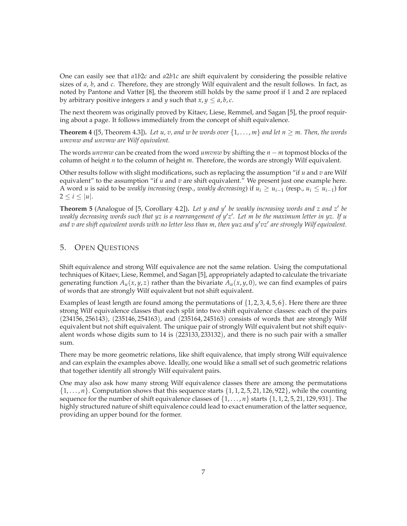One can easily see that *a*1*b*2*c* and *a*2*b*1*c* are shift equivalent by considering the possible relative sizes of *a*, *b*, and *c*. Therefore, they are strongly Wilf equivalent and the result follows. In fact, as noted by Pantone and Vatter [8], the theorem still holds by the same proof if 1 and 2 are replaced by arbitrary positive integers *x* and *y* such that  $x, y \le a, b, c$ .

The next theorem was originally proved by Kitaev, Liese, Remmel, and Sagan [5], the proof requiring about a page. It follows immediately from the concept of shift equivalence.

**Theorem 4** ([5, Theorem 4.3]). Let u, v, and w be words over  $\{1,\ldots,m\}$  and let  $n > m$ . Then, the words *umvnw and unvmw are Wilf equivalent.*

The words *unvmw* can be created from the word *umvnw* by shifting the *n* − *m* topmost blocks of the column of height *n* to the column of height *m*. Therefore, the words are strongly Wilf equivalent.

Other results follow with slight modifications, such as replacing the assumption "if *u* and *v* are Wilf equivalent" to the assumption "if *u* and *v* are shift equivalent." We present just one example here. A word *u* is said to be *weakly increasing* (resp., *weakly decreasing*) if  $u_i \geq u_{i-1}$  (resp.,  $u_i \leq u_{i-1}$ ) for  $2 \leq i \leq |u|.$ 

**Theorem 5** (Analogue of [5, Corollary 4.2])**.** *Let y and y be weakly increasing words and z and z be weakly decreasing words such that yz is a rearrangement of y z . Let m be the maximum letter in yz. If u and v are shift equivalent words with no letter less than m, then yuz and y vz are strongly Wilf equivalent.*

### 5. OPEN QUESTIONS

Shift equivalence and strong Wilf equivalence are not the same relation. Using the computational techniques of Kitaev, Liese, Remmel, and Sagan [5], appropriately adapted to calculate the trivariate generating function  $A_u(x, y, z)$  rather than the bivariate  $A_u(x, y, 0)$ , we can find examples of pairs of words that are strongly Wilf equivalent but not shift equivalent.

Examples of least length are found among the permutations of  $\{1, 2, 3, 4, 5, 6\}$ . Here there are three strong Wilf equivalence classes that each split into two shift equivalence classes: each of the pairs (234156, 256143), (235146, 254163), and (235164, 245163) consists of words that are strongly Wilf equivalent but not shift equivalent. The unique pair of strongly Wilf equivalent but not shift equivalent words whose digits sum to 14 is (223133, 233132), and there is no such pair with a smaller sum.

There may be more geometric relations, like shift equivalence, that imply strong Wilf equivalence and can explain the examples above. Ideally, one would like a small set of such geometric relations that together identify all strongly Wilf equivalent pairs.

One may also ask how many strong Wilf equivalence classes there are among the permutations  $\{1,\ldots,n\}$ . Computation shows that this sequence starts  $\{1,1,2,5,21,126,922\}$ , while the counting sequence for the number of shift equivalence classes of  $\{1, \ldots, n\}$  starts  $\{1, 1, 2, 5, 21, 129, 931\}$ . The highly structured nature of shift equivalence could lead to exact enumeration of the latter sequence, providing an upper bound for the former.